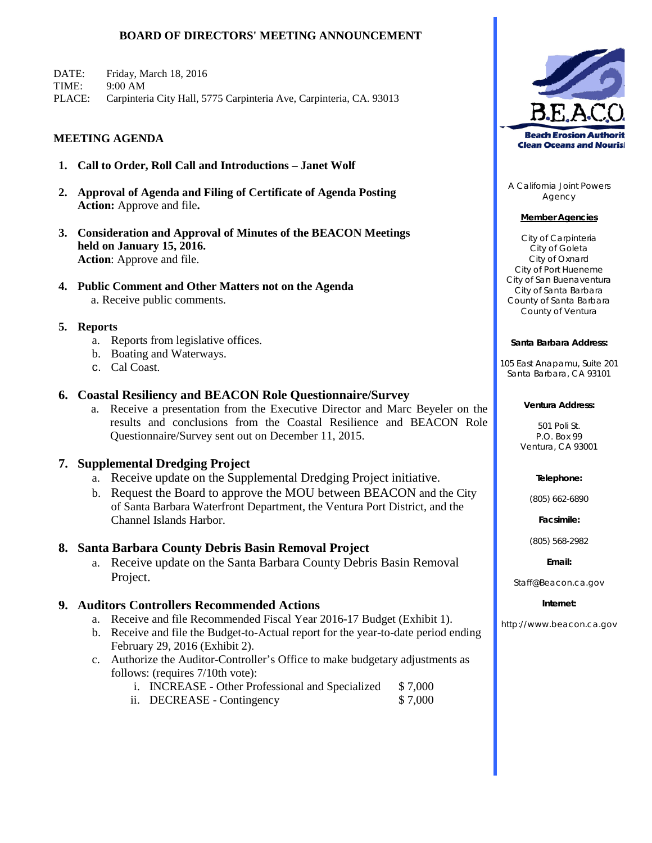## **BOARD OF DIRECTORS' MEETING ANNOUNCEMENT**

DATE: Friday, March 18, 2016 TIME: 9:00 AM PLACE: Carpinteria City Hall, 5775 Carpinteria Ave, Carpinteria, CA. 93013

### **MEETING AGENDA**

- **1. Call to Order, Roll Call and Introductions Janet Wolf**
- **2. Approval of Agenda and Filing of Certificate of Agenda Posting Action:** Approve and file**.**
- **3. Consideration and Approval of Minutes of the BEACON Meetings held on January 15, 2016. Action**: Approve and file.
- **4. Public Comment and Other Matters not on the Agenda** a. Receive public comments.

### **5. Reports**

- a. Reports from legislative offices.
- b. Boating and Waterways.
- c. Cal Coast.

### **6. Coastal Resiliency and BEACON Role Questionnaire/Survey**

a. Receive a presentation from the Executive Director and Marc Beyeler on the results and conclusions from the Coastal Resilience and BEACON Role Questionnaire/Survey sent out on December 11, 2015.

### **7. Supplemental Dredging Project**

- a. Receive update on the Supplemental Dredging Project initiative.
- b. Request the Board to approve the MOU between BEACON and the City of Santa Barbara Waterfront Department, the Ventura Port District, and the Channel Islands Harbor.

### **8. Santa Barbara County Debris Basin Removal Project**

a. Receive update on the Santa Barbara County Debris Basin Removal Project.

### **9. Auditors Controllers Recommended Actions**

- a. Receive and file Recommended Fiscal Year 2016-17 Budget (Exhibit 1).
- b. Receive and file the Budget-to-Actual report for the year-to-date period ending February 29, 2016 (Exhibit 2).
- c. Authorize the Auditor-Controller's Office to make budgetary adjustments as follows: (requires 7/10th vote):
	- i. INCREASE Other Professional and Specialized \$ 7,000
	- ii. DECREASE Contingency \$7,000



A California Joint Powers Agency

### **Member Agencies**

City of Carpinteria City of Goleta City of Oxnard City of Port Hueneme City of San Buenaventura City of Santa Barbara County of Santa Barbara County of Ventura

### **Santa Barbara Address:**

105 East Anapamu, Suite 201 Santa Barbara, CA 93101

#### **Ventura Address:**

501 Poli St. P.O. Box 99 Ventura, CA 93001

### **Telephone:**

(805) 662-6890

**Facsimile:**

(805) 568-2982

### **Email:**

Staff@Beacon.ca.gov

### **Internet:**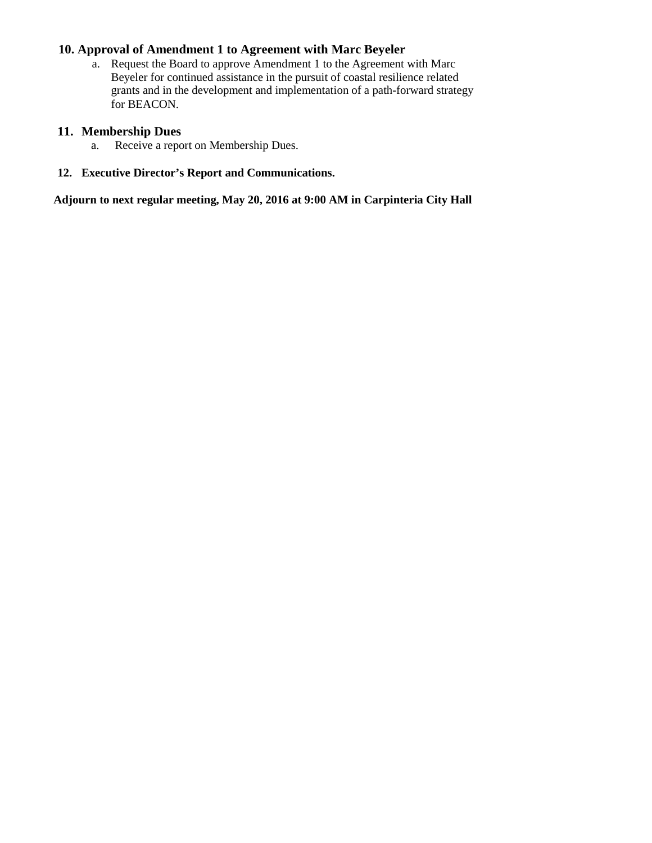# **10. Approval of Amendment 1 to Agreement with Marc Beyeler**

a. Request the Board to approve Amendment 1 to the Agreement with Marc Beyeler for continued assistance in the pursuit of coastal resilience related grants and in the development and implementation of a path-forward strategy for BEACON.

# **11. Membership Dues**

- a. Receive a report on Membership Dues.
- **12. Executive Director's Report and Communications.**

**Adjourn to next regular meeting, May 20, 2016 at 9:00 AM in Carpinteria City Hall**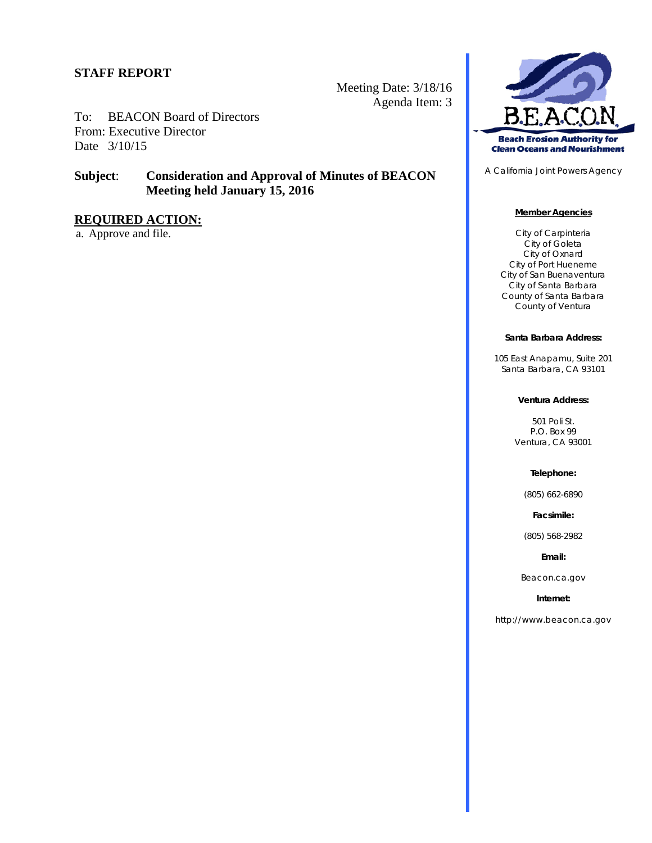Meeting Date: 3/18/16 Agenda Item: 3

To: BEACON Board of Directors From: Executive Director Date 3/10/15

# **Subject**: **Consideration and Approval of Minutes of BEACON Meeting held January 15, 2016**

# **REQUIRED ACTION:**

a. Approve and file.



A California Joint Powers Agency

### **Member Agencies**

City of Carpinteria City of Goleta City of Oxnard City of Port Hueneme City of San Buenaventura City of Santa Barbara County of Santa Barbara County of Ventura

### **Santa Barbara Address:**

105 East Anapamu, Suite 201 Santa Barbara, CA 93101

### **Ventura Address:**

501 Poli St. P.O. Box 99 Ventura, CA 93001

#### **Telephone:**

(805) 662-6890

**Facsimile:**

(805) 568-2982

### **Email:**

Beacon.ca.gov

#### **Internet:**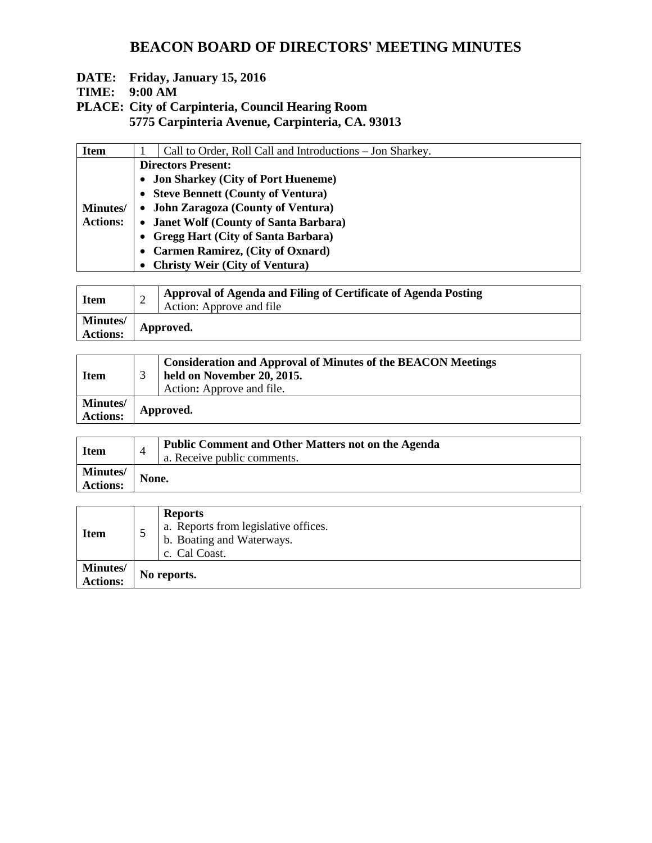# **BEACON BOARD OF DIRECTORS' MEETING MINUTES**

# **DATE: Friday, January 15, 2016**

# **TIME: 9:00 AM**

**PLACE: City of Carpinteria, Council Hearing Room**

**5775 Carpinteria Avenue, Carpinteria, CA. 93013**

| <b>Item</b>      |                                        | Call to Order, Roll Call and Introductions - Jon Sharkey. |  |  |  |  |
|------------------|----------------------------------------|-----------------------------------------------------------|--|--|--|--|
|                  |                                        | <b>Directors Present:</b>                                 |  |  |  |  |
|                  | • Jon Sharkey (City of Port Hueneme)   |                                                           |  |  |  |  |
|                  |                                        | • Steve Bennett (County of Ventura)                       |  |  |  |  |
| <b>Minutes</b> / | • John Zaragoza (County of Ventura)    |                                                           |  |  |  |  |
| <b>Actions:</b>  | • Janet Wolf (County of Santa Barbara) |                                                           |  |  |  |  |
|                  |                                        | • Gregg Hart (City of Santa Barbara)                      |  |  |  |  |
|                  |                                        | • Carmen Ramirez, (City of Oxnard)                        |  |  |  |  |
|                  |                                        | • Christy Weir (City of Ventura)                          |  |  |  |  |

| <b>Item</b>                 | Approval of Agenda and Filing of Certificate of Agenda Posting<br>Action: Approve and file |
|-----------------------------|--------------------------------------------------------------------------------------------|
| Minutes/<br><b>Actions:</b> | Approved.                                                                                  |

| <b>Item</b>          | <b>Consideration and Approval of Minutes of the BEACON Meetings</b><br>held on November 20, 2015.<br>Action: Approve and file. |
|----------------------|--------------------------------------------------------------------------------------------------------------------------------|
| Minutes/<br>Actions: | Approved.                                                                                                                      |

| <b>Item</b>                        | $\overline{4}$ | <b>Public Comment and Other Matters not on the Agenda</b><br>a. Receive public comments. |
|------------------------------------|----------------|------------------------------------------------------------------------------------------|
| <b>Minutes/</b><br><b>Actions:</b> | None.          |                                                                                          |

| <b>Item</b>                 | ◡ | <b>Reports</b><br>a. Reports from legislative offices.<br>b. Boating and Waterways.<br>c. Cal Coast. |
|-----------------------------|---|------------------------------------------------------------------------------------------------------|
| Minutes/<br><b>Actions:</b> |   | No reports.                                                                                          |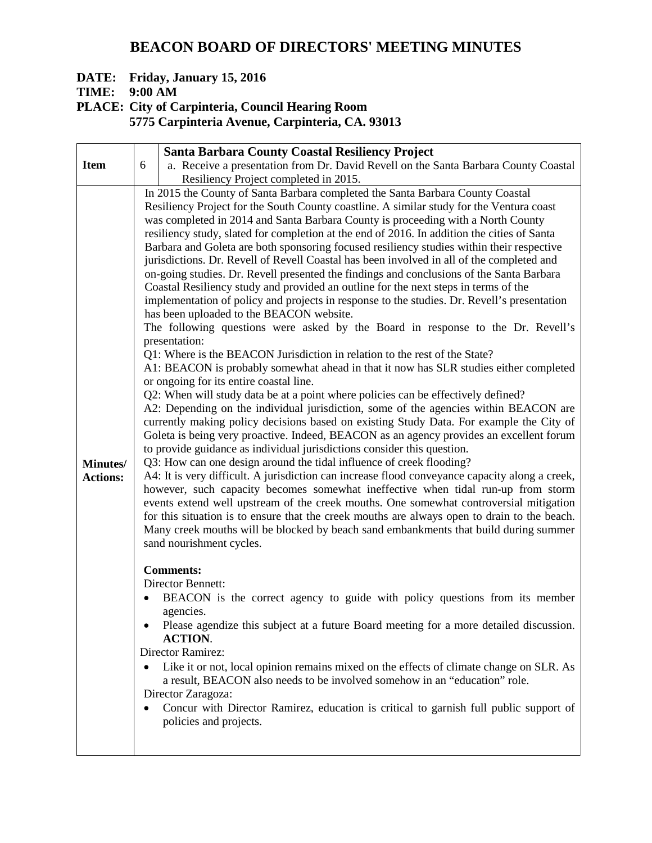# **BEACON BOARD OF DIRECTORS' MEETING MINUTES**

# **DATE: Friday, January 15, 2016**

**TIME: 9:00 AM**

**PLACE: City of Carpinteria, Council Hearing Room**

**5775 Carpinteria Avenue, Carpinteria, CA. 93013**

|                                    | <b>Santa Barbara County Coastal Resiliency Project</b> |                                                                                                                                                                                                                                                                                                                                                                                                                                                                                                                                                                                                                                                                                                                                                                                                                                                                                                                                                                                                                                                                                                                                                            |  |  |  |  |
|------------------------------------|--------------------------------------------------------|------------------------------------------------------------------------------------------------------------------------------------------------------------------------------------------------------------------------------------------------------------------------------------------------------------------------------------------------------------------------------------------------------------------------------------------------------------------------------------------------------------------------------------------------------------------------------------------------------------------------------------------------------------------------------------------------------------------------------------------------------------------------------------------------------------------------------------------------------------------------------------------------------------------------------------------------------------------------------------------------------------------------------------------------------------------------------------------------------------------------------------------------------------|--|--|--|--|
| <b>Item</b>                        | 6                                                      | a. Receive a presentation from Dr. David Revell on the Santa Barbara County Coastal                                                                                                                                                                                                                                                                                                                                                                                                                                                                                                                                                                                                                                                                                                                                                                                                                                                                                                                                                                                                                                                                        |  |  |  |  |
|                                    |                                                        |                                                                                                                                                                                                                                                                                                                                                                                                                                                                                                                                                                                                                                                                                                                                                                                                                                                                                                                                                                                                                                                                                                                                                            |  |  |  |  |
|                                    |                                                        | Resiliency Project completed in 2015.<br>In 2015 the County of Santa Barbara completed the Santa Barbara County Coastal<br>Resiliency Project for the South County coastline. A similar study for the Ventura coast<br>was completed in 2014 and Santa Barbara County is proceeding with a North County<br>resiliency study, slated for completion at the end of 2016. In addition the cities of Santa<br>Barbara and Goleta are both sponsoring focused resiliency studies within their respective<br>jurisdictions. Dr. Revell of Revell Coastal has been involved in all of the completed and<br>on-going studies. Dr. Revell presented the findings and conclusions of the Santa Barbara<br>Coastal Resiliency study and provided an outline for the next steps in terms of the<br>implementation of policy and projects in response to the studies. Dr. Revell's presentation<br>has been uploaded to the BEACON website.<br>The following questions were asked by the Board in response to the Dr. Revell's<br>presentation:<br>Q1: Where is the BEACON Jurisdiction in relation to the rest of the State?                                           |  |  |  |  |
| <b>Minutes/</b><br><b>Actions:</b> |                                                        | A1: BEACON is probably somewhat ahead in that it now has SLR studies either completed<br>or ongoing for its entire coastal line.<br>Q2: When will study data be at a point where policies can be effectively defined?<br>A2: Depending on the individual jurisdiction, some of the agencies within BEACON are<br>currently making policy decisions based on existing Study Data. For example the City of<br>Goleta is being very proactive. Indeed, BEACON as an agency provides an excellent forum<br>to provide guidance as individual jurisdictions consider this question.<br>Q3: How can one design around the tidal influence of creek flooding?<br>A4: It is very difficult. A jurisdiction can increase flood conveyance capacity along a creek,<br>however, such capacity becomes somewhat ineffective when tidal run-up from storm<br>events extend well upstream of the creek mouths. One somewhat controversial mitigation<br>for this situation is to ensure that the creek mouths are always open to drain to the beach.<br>Many creek mouths will be blocked by beach sand embankments that build during summer<br>sand nourishment cycles. |  |  |  |  |
|                                    | $\bullet$<br>$\bullet$                                 | <b>Comments:</b><br>Director Bennett:<br>BEACON is the correct agency to guide with policy questions from its member<br>agencies.<br>Please agendize this subject at a future Board meeting for a more detailed discussion.<br><b>ACTION.</b><br>Director Ramirez:<br>Like it or not, local opinion remains mixed on the effects of climate change on SLR. As<br>a result, BEACON also needs to be involved somehow in an "education" role.<br>Director Zaragoza:<br>Concur with Director Ramirez, education is critical to garnish full public support of<br>policies and projects.                                                                                                                                                                                                                                                                                                                                                                                                                                                                                                                                                                       |  |  |  |  |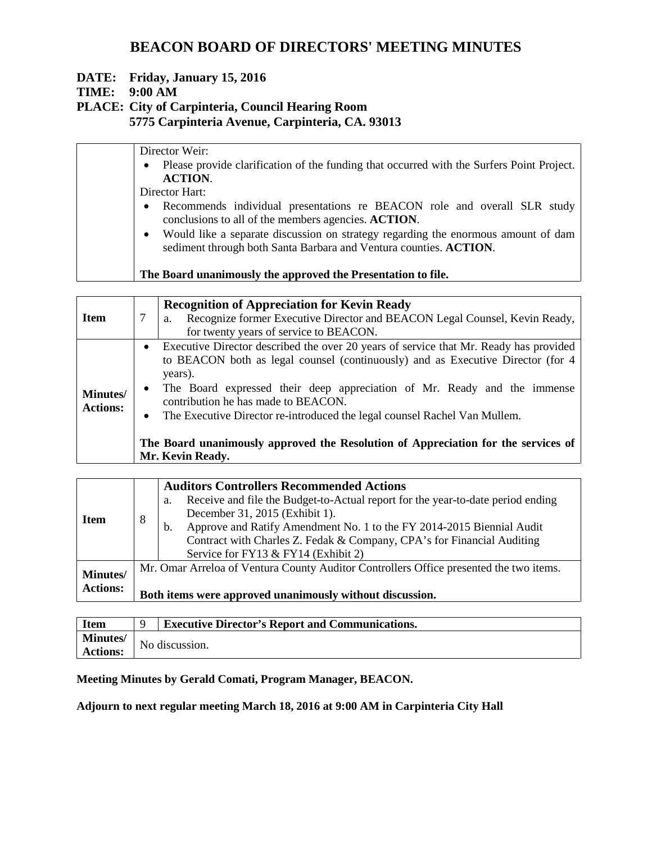# **BEACON BOARD OF DIRECTORS' MEETING MINUTES**

# **DATE: Friday, January 15, 2016**

# **TIME: 9:00 AM**

# **PLACE: City of Carpinteria, Council Hearing Room**

**5775 Carpinteria Avenue, Carpinteria, CA. 93013**

| Director Weir:                                                                                                                                                      |  |  |  |  |
|---------------------------------------------------------------------------------------------------------------------------------------------------------------------|--|--|--|--|
| Please provide clarification of the funding that occurred with the Surfers Point Project.<br>$\bullet$<br><b>ACTION.</b>                                            |  |  |  |  |
| Director Hart:                                                                                                                                                      |  |  |  |  |
| Recommends individual presentations re BEACON role and overall SLR study<br>$\bullet$<br>conclusions to all of the members agencies. ACTION.                        |  |  |  |  |
| Would like a separate discussion on strategy regarding the enormous amount of dam<br>$\bullet$<br>sediment through both Santa Barbara and Ventura counties. ACTION. |  |  |  |  |
| The Board unanimously the approved the Presentation to file.                                                                                                        |  |  |  |  |

| <b>Item</b>                        |                                     | <b>Recognition of Appreciation for Kevin Ready</b><br>Recognize former Executive Director and BEACON Legal Counsel, Kevin Ready,<br>a.<br>for twenty years of service to BEACON.                                                                                                                                                                                                                                                                                                             |
|------------------------------------|-------------------------------------|----------------------------------------------------------------------------------------------------------------------------------------------------------------------------------------------------------------------------------------------------------------------------------------------------------------------------------------------------------------------------------------------------------------------------------------------------------------------------------------------|
| <b>Minutes/</b><br><b>Actions:</b> | $\bullet$<br>$\bullet$<br>$\bullet$ | Executive Director described the over 20 years of service that Mr. Ready has provided<br>to BEACON both as legal counsel (continuously) and as Executive Director (for 4<br>years).<br>The Board expressed their deep appreciation of Mr. Ready and the immense<br>contribution he has made to BEACON.<br>The Executive Director re-introduced the legal counsel Rachel Van Mullem.<br>The Board unanimously approved the Resolution of Appreciation for the services of<br>Mr. Kevin Ready. |

|                 |                                                          | <b>Auditors Controllers Recommended Actions</b>                                        |  |  |  |  |  |
|-----------------|----------------------------------------------------------|----------------------------------------------------------------------------------------|--|--|--|--|--|
| <b>Item</b>     |                                                          | Receive and file the Budget-to-Actual report for the year-to-date period ending<br>a.  |  |  |  |  |  |
|                 | 8                                                        | December 31, 2015 (Exhibit 1).                                                         |  |  |  |  |  |
|                 |                                                          | Approve and Ratify Amendment No. 1 to the FY 2014-2015 Biennial Audit<br>b.            |  |  |  |  |  |
|                 |                                                          | Contract with Charles Z. Fedak & Company, CPA's for Financial Auditing                 |  |  |  |  |  |
|                 |                                                          | Service for FY13 & FY14 (Exhibit 2)                                                    |  |  |  |  |  |
| <b>Minutes/</b> |                                                          | Mr. Omar Arreloa of Ventura County Auditor Controllers Office presented the two items. |  |  |  |  |  |
|                 |                                                          |                                                                                        |  |  |  |  |  |
| <b>Actions:</b> | Both items were approved unanimously without discussion. |                                                                                        |  |  |  |  |  |

| <b>Item</b>     | <b>Executive Director's Report and Communications.</b> |                |
|-----------------|--------------------------------------------------------|----------------|
| <b>Minutes/</b> |                                                        | No discussion. |
| <b>Actions:</b> |                                                        |                |

# **Meeting Minutes by Gerald Comati, Program Manager, BEACON.**

**Adjourn to next regular meeting March 18, 2016 at 9:00 AM in Carpinteria City Hall**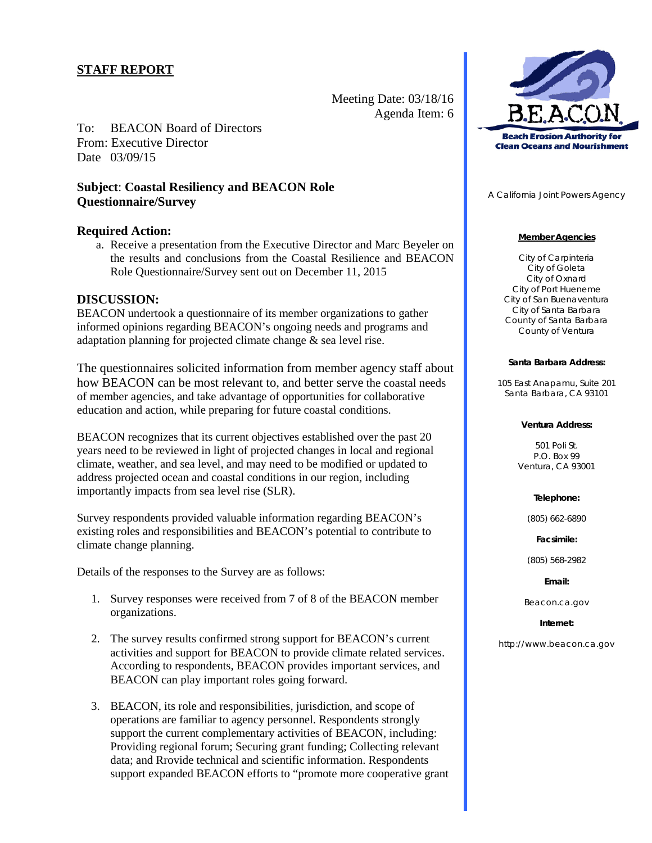Meeting Date: 03/18/16 Agenda Item: 6

To: BEACON Board of Directors From: Executive Director Date 03/09/15

# **Subject**: **Coastal Resiliency and BEACON Role Questionnaire/Survey**

### **Required Action:**

a. Receive a presentation from the Executive Director and Marc Beyeler on the results and conclusions from the Coastal Resilience and BEACON Role Questionnaire/Survey sent out on December 11, 2015

## **DISCUSSION:**

BEACON undertook a questionnaire of its member organizations to gather informed opinions regarding BEACON's ongoing needs and programs and adaptation planning for projected climate change & sea level rise.

The questionnaires solicited information from member agency staff about how BEACON can be most relevant to, and better serve the coastal needs of member agencies, and take advantage of opportunities for collaborative education and action, while preparing for future coastal conditions.

BEACON recognizes that its current objectives established over the past 20 years need to be reviewed in light of projected changes in local and regional climate, weather, and sea level, and may need to be modified or updated to address projected ocean and coastal conditions in our region, including importantly impacts from sea level rise (SLR).

Survey respondents provided valuable information regarding BEACON's existing roles and responsibilities and BEACON's potential to contribute to climate change planning.

Details of the responses to the Survey are as follows:

- 1. Survey responses were received from 7 of 8 of the BEACON member organizations.
- 2. The survey results confirmed strong support for BEACON's current activities and support for BEACON to provide climate related services. According to respondents, BEACON provides important services, and BEACON can play important roles going forward.
- 3. BEACON, its role and responsibilities, jurisdiction, and scope of operations are familiar to agency personnel. Respondents strongly support the current complementary activities of BEACON, including: Providing regional forum; Securing grant funding; Collecting relevant data; and Rrovide technical and scientific information. Respondents support expanded BEACON efforts to "promote more cooperative grant



A California Joint Powers Agency

### **Member Agencies**

City of Carpinteria City of Goleta City of Oxnard City of Port Hueneme City of San Buenaventura City of Santa Barbara County of Santa Barbara County of Ventura

#### **Santa Barbara Address:**

105 East Anapamu, Suite 201 Santa Barbara, CA 93101

### **Ventura Address:**

501 Poli St. P.O. Box 99 Ventura, CA 93001

### **Telephone:**

(805) 662-6890

**Facsimile:**

(805) 568-2982

#### **Email:**

Beacon.ca.gov

#### **Internet:**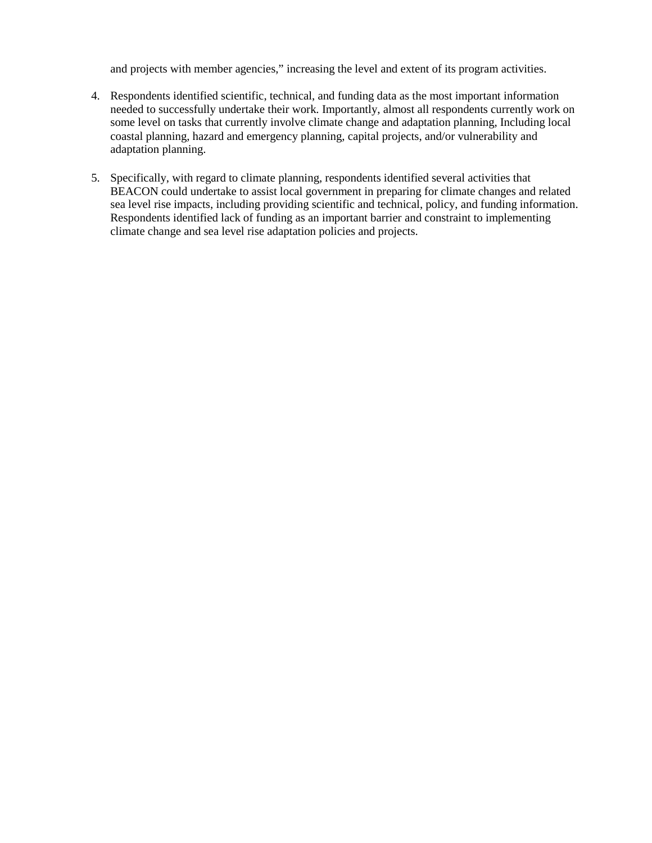and projects with member agencies," increasing the level and extent of its program activities.

- 4. Respondents identified scientific, technical, and funding data as the most important information needed to successfully undertake their work. Importantly, almost all respondents currently work on some level on tasks that currently involve climate change and adaptation planning, Including local coastal planning, hazard and emergency planning, capital projects, and/or vulnerability and adaptation planning.
- 5. Specifically, with regard to climate planning, respondents identified several activities that BEACON could undertake to assist local government in preparing for climate changes and related sea level rise impacts, including providing scientific and technical, policy, and funding information. Respondents identified lack of funding as an important barrier and constraint to implementing climate change and sea level rise adaptation policies and projects.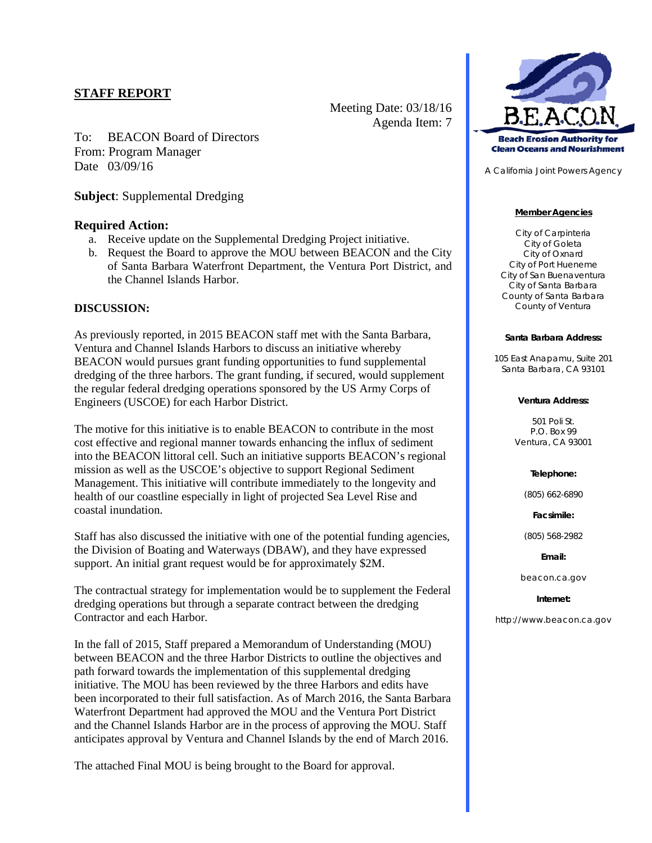To: BEACON Board of Directors From: Program Manager Date 03/09/16

**Subject**: Supplemental Dredging

# **Required Action:**

- a. Receive update on the Supplemental Dredging Project initiative.
- b. Request the Board to approve the MOU between BEACON and the City of Santa Barbara Waterfront Department, the Ventura Port District, and the Channel Islands Harbor.

Meeting Date: 03/18/16

Agenda Item: 7

# **DISCUSSION:**

As previously reported, in 2015 BEACON staff met with the Santa Barbara, Ventura and Channel Islands Harbors to discuss an initiative whereby BEACON would pursues grant funding opportunities to fund supplemental dredging of the three harbors. The grant funding, if secured, would supplement the regular federal dredging operations sponsored by the US Army Corps of Engineers (USCOE) for each Harbor District.

The motive for this initiative is to enable BEACON to contribute in the most cost effective and regional manner towards enhancing the influx of sediment into the BEACON littoral cell. Such an initiative supports BEACON's regional mission as well as the USCOE's objective to support Regional Sediment Management. This initiative will contribute immediately to the longevity and health of our coastline especially in light of projected Sea Level Rise and coastal inundation.

Staff has also discussed the initiative with one of the potential funding agencies, the Division of Boating and Waterways (DBAW), and they have expressed support. An initial grant request would be for approximately \$2M.

The contractual strategy for implementation would be to supplement the Federal dredging operations but through a separate contract between the dredging Contractor and each Harbor.

In the fall of 2015, Staff prepared a Memorandum of Understanding (MOU) between BEACON and the three Harbor Districts to outline the objectives and path forward towards the implementation of this supplemental dredging initiative. The MOU has been reviewed by the three Harbors and edits have been incorporated to their full satisfaction. As of March 2016, the Santa Barbara Waterfront Department had approved the MOU and the Ventura Port District and the Channel Islands Harbor are in the process of approving the MOU. Staff anticipates approval by Ventura and Channel Islands by the end of March 2016.

The attached Final MOU is being brought to the Board for approval.



A California Joint Powers Agency

### **Member Agencies**

City of Carpinteria City of Goleta City of Oxnard City of Port Hueneme City of San Buenaventura City of Santa Barbara County of Santa Barbara County of Ventura

### **Santa Barbara Address:**

105 East Anapamu, Suite 201 Santa Barbara, CA 93101

### **Ventura Address:**

501 Poli St. P.O. Box 99 Ventura, CA 93001

### **Telephone:**

(805) 662-6890

**Facsimile:**

(805) 568-2982

### **Email:**

beacon.ca.gov

### **Internet:**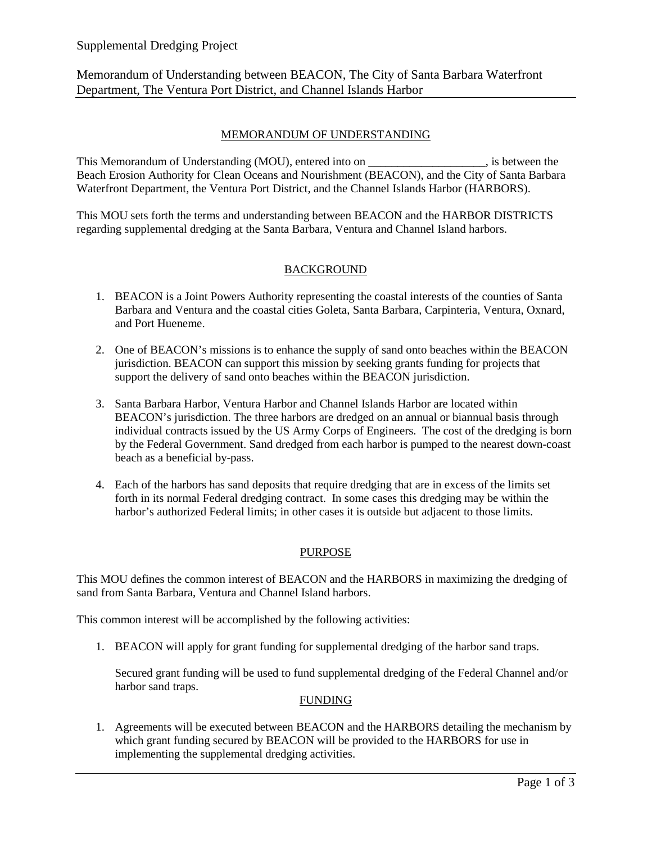# Supplemental Dredging Project

Memorandum of Understanding between BEACON, The City of Santa Barbara Waterfront Department, The Ventura Port District, and Channel Islands Harbor

# MEMORANDUM OF UNDERSTANDING

This Memorandum of Understanding (MOU), entered into on \_\_\_\_\_\_\_\_\_\_\_\_\_\_\_\_, is between the Beach Erosion Authority for Clean Oceans and Nourishment (BEACON), and the City of Santa Barbara Waterfront Department, the Ventura Port District, and the Channel Islands Harbor (HARBORS).

This MOU sets forth the terms and understanding between BEACON and the HARBOR DISTRICTS regarding supplemental dredging at the Santa Barbara, Ventura and Channel Island harbors.

# BACKGROUND

- 1. BEACON is a Joint Powers Authority representing the coastal interests of the counties of Santa Barbara and Ventura and the coastal cities Goleta, Santa Barbara, Carpinteria, Ventura, Oxnard, and Port Hueneme.
- 2. One of BEACON's missions is to enhance the supply of sand onto beaches within the BEACON jurisdiction. BEACON can support this mission by seeking grants funding for projects that support the delivery of sand onto beaches within the BEACON jurisdiction.
- 3. Santa Barbara Harbor, Ventura Harbor and Channel Islands Harbor are located within BEACON's jurisdiction. The three harbors are dredged on an annual or biannual basis through individual contracts issued by the US Army Corps of Engineers. The cost of the dredging is born by the Federal Government. Sand dredged from each harbor is pumped to the nearest down-coast beach as a beneficial by-pass.
- 4. Each of the harbors has sand deposits that require dredging that are in excess of the limits set forth in its normal Federal dredging contract. In some cases this dredging may be within the harbor's authorized Federal limits; in other cases it is outside but adjacent to those limits.

### PURPOSE

This MOU defines the common interest of BEACON and the HARBORS in maximizing the dredging of sand from Santa Barbara, Ventura and Channel Island harbors.

This common interest will be accomplished by the following activities:

1. BEACON will apply for grant funding for supplemental dredging of the harbor sand traps.

Secured grant funding will be used to fund supplemental dredging of the Federal Channel and/or harbor sand traps.

### FUNDING

1. Agreements will be executed between BEACON and the HARBORS detailing the mechanism by which grant funding secured by BEACON will be provided to the HARBORS for use in implementing the supplemental dredging activities.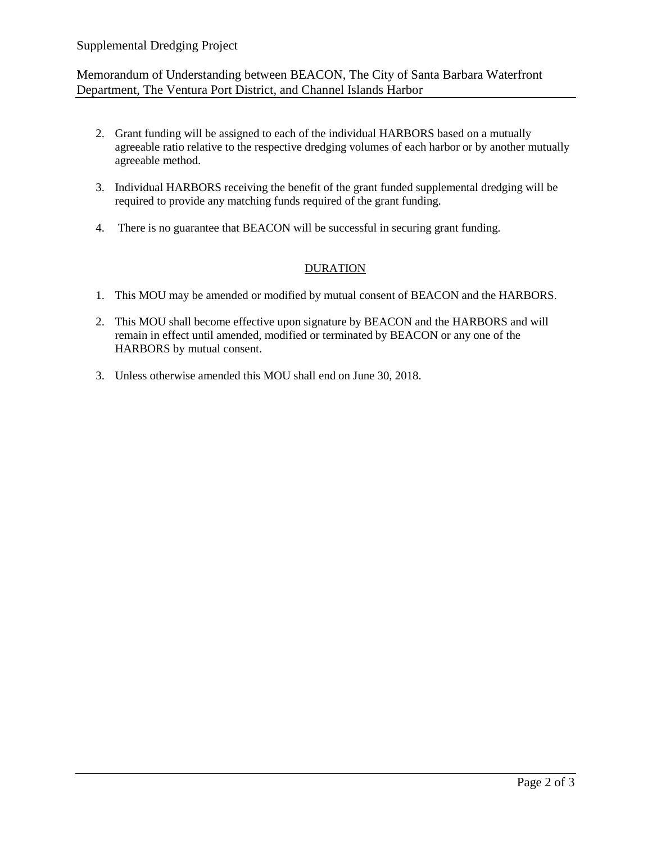# Supplemental Dredging Project

# Memorandum of Understanding between BEACON, The City of Santa Barbara Waterfront Department, The Ventura Port District, and Channel Islands Harbor

- 2. Grant funding will be assigned to each of the individual HARBORS based on a mutually agreeable ratio relative to the respective dredging volumes of each harbor or by another mutually agreeable method.
- 3. Individual HARBORS receiving the benefit of the grant funded supplemental dredging will be required to provide any matching funds required of the grant funding.
- 4. There is no guarantee that BEACON will be successful in securing grant funding.

# **DURATION**

- 1. This MOU may be amended or modified by mutual consent of BEACON and the HARBORS.
- 2. This MOU shall become effective upon signature by BEACON and the HARBORS and will remain in effect until amended, modified or terminated by BEACON or any one of the HARBORS by mutual consent.
- 3. Unless otherwise amended this MOU shall end on June 30, 2018.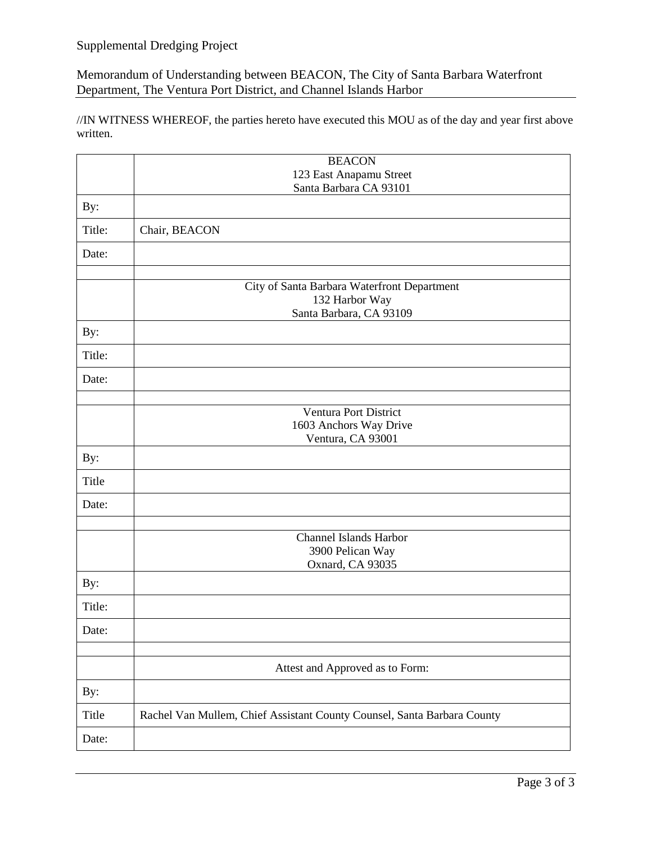# Supplemental Dredging Project

Memorandum of Understanding between BEACON, The City of Santa Barbara Waterfront Department, The Ventura Port District, and Channel Islands Harbor

//IN WITNESS WHEREOF, the parties hereto have executed this MOU as of the day and year first above written.

|              | <b>BEACON</b>                                                                            |  |  |  |  |  |  |
|--------------|------------------------------------------------------------------------------------------|--|--|--|--|--|--|
|              | 123 East Anapamu Street                                                                  |  |  |  |  |  |  |
|              | Santa Barbara CA 93101                                                                   |  |  |  |  |  |  |
| By:          |                                                                                          |  |  |  |  |  |  |
| Title:       | Chair, BEACON                                                                            |  |  |  |  |  |  |
| Date:        |                                                                                          |  |  |  |  |  |  |
|              |                                                                                          |  |  |  |  |  |  |
|              | City of Santa Barbara Waterfront Department<br>132 Harbor Way<br>Santa Barbara, CA 93109 |  |  |  |  |  |  |
| By:          |                                                                                          |  |  |  |  |  |  |
| Title:       |                                                                                          |  |  |  |  |  |  |
| Date:        |                                                                                          |  |  |  |  |  |  |
|              |                                                                                          |  |  |  |  |  |  |
|              | <b>Ventura Port District</b>                                                             |  |  |  |  |  |  |
|              | 1603 Anchors Way Drive                                                                   |  |  |  |  |  |  |
|              | Ventura, CA 93001                                                                        |  |  |  |  |  |  |
| By:          |                                                                                          |  |  |  |  |  |  |
| <b>Title</b> |                                                                                          |  |  |  |  |  |  |
| Date:        |                                                                                          |  |  |  |  |  |  |
|              |                                                                                          |  |  |  |  |  |  |
|              | <b>Channel Islands Harbor</b>                                                            |  |  |  |  |  |  |
|              | 3900 Pelican Way<br>Oxnard, CA 93035                                                     |  |  |  |  |  |  |
| By:          |                                                                                          |  |  |  |  |  |  |
| Title:       |                                                                                          |  |  |  |  |  |  |
| Date:        |                                                                                          |  |  |  |  |  |  |
|              |                                                                                          |  |  |  |  |  |  |
|              | Attest and Approved as to Form:                                                          |  |  |  |  |  |  |
| By:          |                                                                                          |  |  |  |  |  |  |
| Title        | Rachel Van Mullem, Chief Assistant County Counsel, Santa Barbara County                  |  |  |  |  |  |  |
| Date:        |                                                                                          |  |  |  |  |  |  |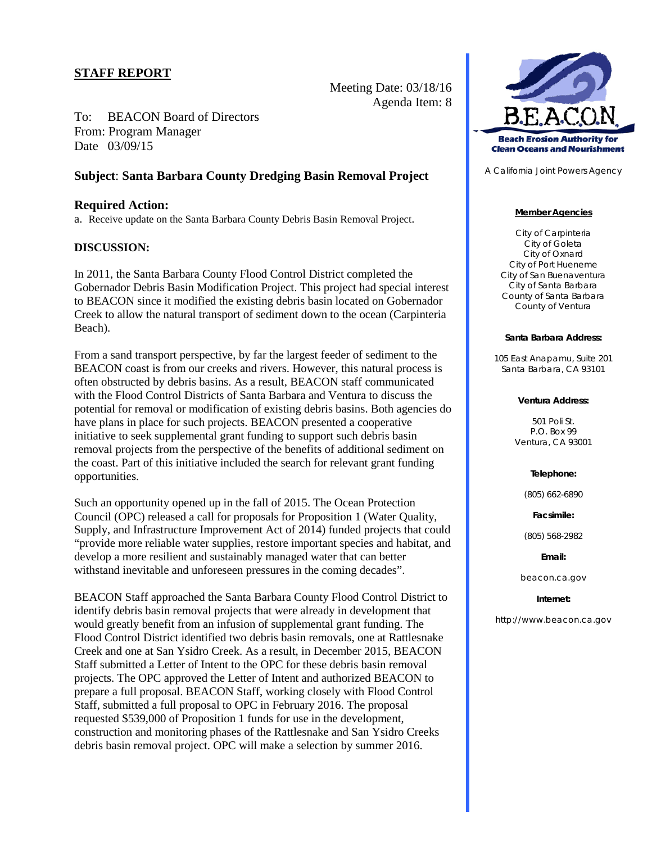Meeting Date: 03/18/16 Agenda Item: 8

To: BEACON Board of Directors From: Program Manager Date 03/09/15

# **Subject**: **Santa Barbara County Dredging Basin Removal Project**

### **Required Action:**

a. Receive update on the Santa Barbara County Debris Basin Removal Project.

### **DISCUSSION:**

In 2011, the Santa Barbara County Flood Control District completed the Gobernador Debris Basin Modification Project. This project had special interest to BEACON since it modified the existing debris basin located on Gobernador Creek to allow the natural transport of sediment down to the ocean (Carpinteria Beach).

From a sand transport perspective, by far the largest feeder of sediment to the BEACON coast is from our creeks and rivers. However, this natural process is often obstructed by debris basins. As a result, BEACON staff communicated with the Flood Control Districts of Santa Barbara and Ventura to discuss the potential for removal or modification of existing debris basins. Both agencies do have plans in place for such projects. BEACON presented a cooperative initiative to seek supplemental grant funding to support such debris basin removal projects from the perspective of the benefits of additional sediment on the coast. Part of this initiative included the search for relevant grant funding opportunities.

Such an opportunity opened up in the fall of 2015. The Ocean Protection Council (OPC) released a call for proposals for Proposition 1 (Water Quality, Supply, and Infrastructure Improvement Act of 2014) funded projects that could "provide more reliable water supplies, restore important species and habitat, and develop a more resilient and sustainably managed water that can better withstand inevitable and unforeseen pressures in the coming decades".

BEACON Staff approached the Santa Barbara County Flood Control District to identify debris basin removal projects that were already in development that would greatly benefit from an infusion of supplemental grant funding. The Flood Control District identified two debris basin removals, one at Rattlesnake Creek and one at San Ysidro Creek. As a result, in December 2015, BEACON Staff submitted a Letter of Intent to the OPC for these debris basin removal projects. The OPC approved the Letter of Intent and authorized BEACON to prepare a full proposal. BEACON Staff, working closely with Flood Control Staff, submitted a full proposal to OPC in February 2016. The proposal requested \$539,000 of Proposition 1 funds for use in the development, construction and monitoring phases of the Rattlesnake and San Ysidro Creeks debris basin removal project. OPC will make a selection by summer 2016.



A California Joint Powers Agency

#### **Member Agencies**

City of Carpinteria City of Goleta City of Oxnard City of Port Hueneme City of San Buenaventura City of Santa Barbara County of Santa Barbara County of Ventura

#### **Santa Barbara Address:**

105 East Anapamu, Suite 201 Santa Barbara, CA 93101

#### **Ventura Address:**

501 Poli St. P.O. Box 99 Ventura, CA 93001

#### **Telephone:**

(805) 662-6890

**Facsimile:**

(805) 568-2982

**Email:**

beacon.ca.gov

#### **Internet:**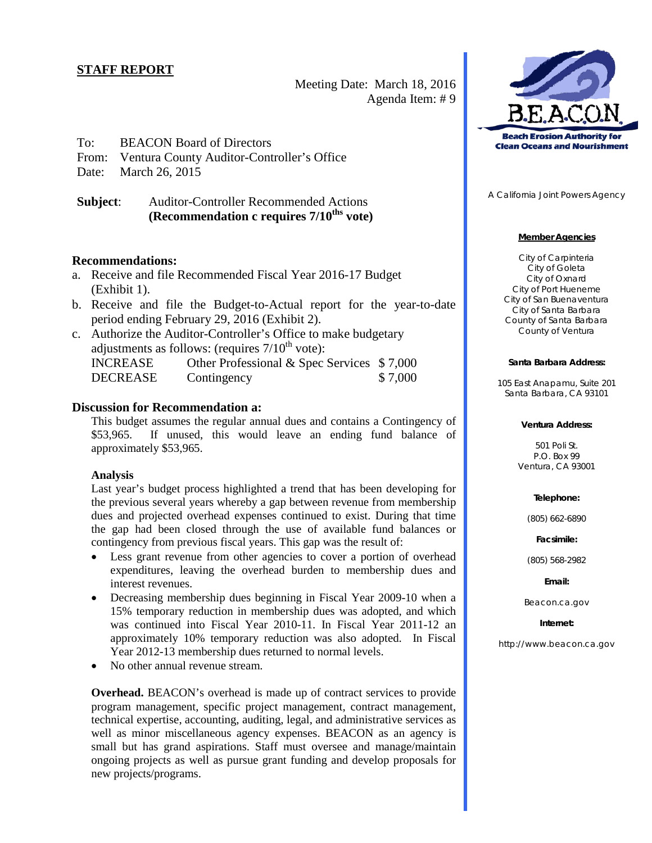Meeting Date: March 18, 2016 Agenda Item: # 9

# To: BEACON Board of Directors

From: Ventura County Auditor-Controller's Office

Date: March 26, 2015

**Subject**: Auditor-Controller Recommended Actions **(Recommendation c** requires  $7/10^{ths}$  vote)

### **Recommendations:**

- a. Receive and file Recommended Fiscal Year 2016-17 Budget (Exhibit 1).
- b. Receive and file the Budget-to-Actual report for the year-to-date period ending February 29, 2016 (Exhibit 2).
- c. Authorize the Auditor-Controller's Office to make budgetary adjustments as follows: (requires  $7/10^{th}$  vote): INCREASE Other Professional & Spec Services \$ 7,000

# DECREASE Contingency \$7,000

# **Discussion for Recommendation a:**

This budget assumes the regular annual dues and contains a Contingency of \$53,965. If unused, this would leave an ending fund balance of approximately \$53,965.

### **Analysis**

Last year's budget process highlighted a trend that has been developing for the previous several years whereby a gap between revenue from membership dues and projected overhead expenses continued to exist. During that time the gap had been closed through the use of available fund balances or contingency from previous fiscal years. This gap was the result of:

- Less grant revenue from other agencies to cover a portion of overhead expenditures, leaving the overhead burden to membership dues and interest revenues.
- Decreasing membership dues beginning in Fiscal Year 2009-10 when a 15% temporary reduction in membership dues was adopted, and which was continued into Fiscal Year 2010-11. In Fiscal Year 2011-12 an approximately 10% temporary reduction was also adopted. In Fiscal Year 2012-13 membership dues returned to normal levels.
- No other annual revenue stream.

**Overhead.** BEACON's overhead is made up of contract services to provide program management, specific project management, contract management, technical expertise, accounting, auditing, legal, and administrative services as well as minor miscellaneous agency expenses. BEACON as an agency is small but has grand aspirations. Staff must oversee and manage/maintain ongoing projects as well as pursue grant funding and develop proposals for new projects/programs.



A California Joint Powers Agency

### **Member Agencies**

City of Carpinteria City of Goleta City of Oxnard City of Port Hueneme City of San Buenaventura City of Santa Barbara County of Santa Barbara County of Ventura

### **Santa Barbara Address:**

105 East Anapamu, Suite 201 Santa Barbara, CA 93101

#### **Ventura Address:**

501 Poli St. P.O. Box 99 Ventura, CA 93001

### **Telephone:**

(805) 662-6890

**Facsimile:**

(805) 568-2982

**Email:**

Beacon.ca.gov

**Internet:**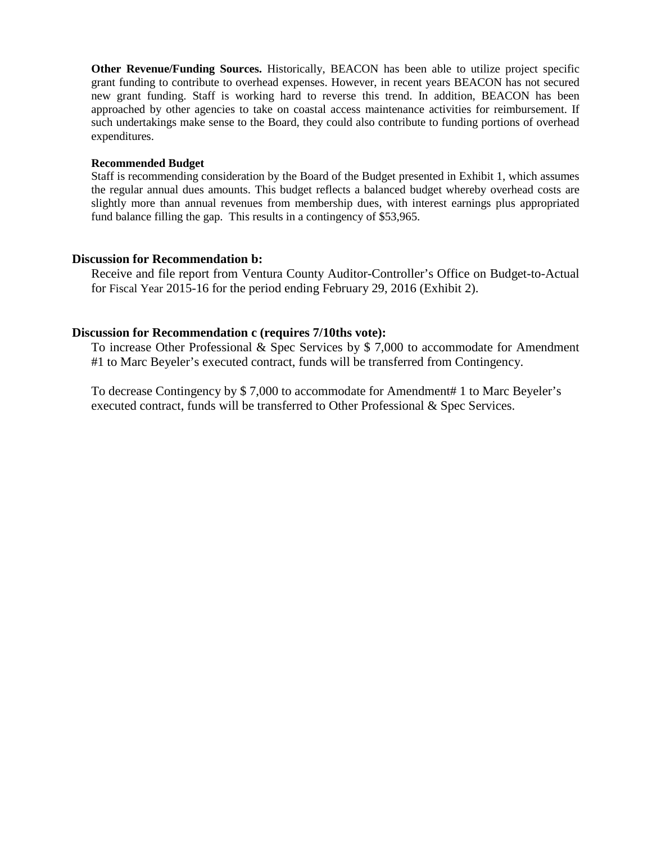**Other Revenue/Funding Sources.** Historically, BEACON has been able to utilize project specific grant funding to contribute to overhead expenses. However, in recent years BEACON has not secured new grant funding. Staff is working hard to reverse this trend. In addition, BEACON has been approached by other agencies to take on coastal access maintenance activities for reimbursement. If such undertakings make sense to the Board, they could also contribute to funding portions of overhead expenditures.

### **Recommended Budget**

Staff is recommending consideration by the Board of the Budget presented in Exhibit 1, which assumes the regular annual dues amounts. This budget reflects a balanced budget whereby overhead costs are slightly more than annual revenues from membership dues, with interest earnings plus appropriated fund balance filling the gap. This results in a contingency of \$53,965.

# **Discussion for Recommendation b:**

Receive and file report from Ventura County Auditor-Controller's Office on Budget-to-Actual for Fiscal Year 2015-16 for the period ending February 29, 2016 (Exhibit 2).

# **Discussion for Recommendation c (requires 7/10ths vote):**

To increase Other Professional & Spec Services by \$ 7,000 to accommodate for Amendment #1 to Marc Beyeler's executed contract, funds will be transferred from Contingency.

To decrease Contingency by \$ 7,000 to accommodate for Amendment# 1 to Marc Beyeler's executed contract, funds will be transferred to Other Professional & Spec Services.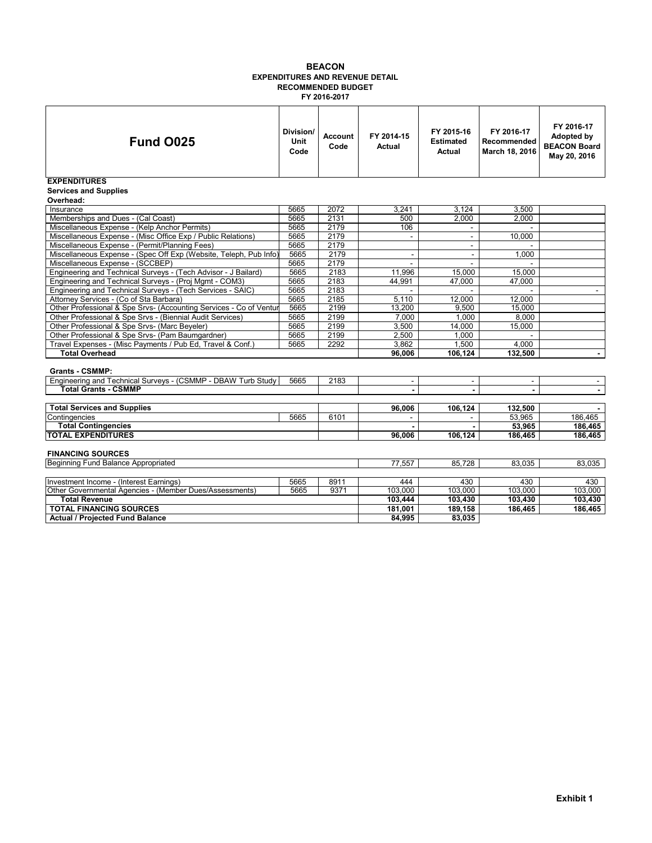#### **BEACON EXPENDITURES AND REVENUE DETAIL RECOMMENDED BUDGET FY 2016-2017**

| <b>Fund 0025</b>                                                   | Division/<br>Unit<br>Code | <b>Account</b><br>Code | FY 2014-15<br><b>Actual</b> | FY 2015-16<br><b>Estimated</b><br>Actual | FY 2016-17<br>Recommended<br>March 18, 2016 | FY 2016-17<br>Adopted by<br><b>BEACON Board</b><br>May 20, 2016 |
|--------------------------------------------------------------------|---------------------------|------------------------|-----------------------------|------------------------------------------|---------------------------------------------|-----------------------------------------------------------------|
| <b>EXPENDITURES</b><br><b>Services and Supplies</b><br>Overhead:   |                           |                        |                             |                                          |                                             |                                                                 |
| Insurance                                                          | 5665                      | 2072                   | 3.241                       | 3.124                                    | 3,500                                       |                                                                 |
| Memberships and Dues - (Cal Coast)                                 | 5665                      | 2131                   | 500                         | 2,000                                    | 2,000                                       |                                                                 |
| Miscellaneous Expense - (Kelp Anchor Permits)                      | 5665                      | 2179                   | 106                         |                                          |                                             |                                                                 |
| Miscellaneous Expense - (Misc Office Exp / Public Relations)       | 5665                      | 2179                   |                             | $\overline{\phantom{a}}$                 | 10.000                                      |                                                                 |
| Miscellaneous Expense - (Permit/Planning Fees)                     | 5665                      | 2179                   |                             |                                          |                                             |                                                                 |
| Miscellaneous Expense - (Spec Off Exp (Website, Teleph, Pub Info)  | 5665                      | 2179                   | ä,                          | $\sim$                                   | 1,000                                       |                                                                 |
| Miscellaneous Expense - (SCCBEP)                                   | 5665                      | 2179                   |                             |                                          |                                             |                                                                 |
| Engineering and Technical Surveys - (Tech Advisor - J Bailard)     | 5665                      | 2183                   | 11,996                      | 15,000                                   | 15,000                                      |                                                                 |
| Engineering and Technical Surveys - (Proj Mgmt - COM3)             | 5665                      | 2183                   | 44,991                      | 47.000                                   | 47.000                                      |                                                                 |
| Engineering and Technical Surveys - (Tech Services - SAIC)         | 5665                      | 2183                   |                             |                                          |                                             |                                                                 |
| Attorney Services - (Co of Sta Barbara)                            | 5665                      | 2185                   | 5,110                       | 12,000                                   | 12,000                                      |                                                                 |
| Other Professional & Spe Srvs- (Accounting Services - Co of Ventur | 5665                      | 2199                   | 13,200                      | 9,500                                    | 15,000                                      |                                                                 |
| Other Professional & Spe Srvs - (Biennial Audit Services)          | 5665                      | 2199                   | 7,000                       | 1.000                                    | 8.000                                       |                                                                 |
| Other Professional & Spe Srvs- (Marc Beyeler)                      | 5665                      | 2199                   | 3,500                       | 14,000                                   | 15,000                                      |                                                                 |
| Other Professional & Spe Srvs- (Pam Baumgardner)                   | 5665                      | 2199                   | 2,500                       | 1.000                                    |                                             |                                                                 |
| Travel Expenses - (Misc Payments / Pub Ed, Travel & Conf.)         | 5665                      | 2292                   | 3,862                       | 1,500                                    | 4.000                                       |                                                                 |
| <b>Total Overhead</b>                                              |                           |                        | 96.006                      | 106.124                                  | 132,500                                     |                                                                 |
| <b>Grants - CSMMP:</b>                                             |                           |                        |                             |                                          |                                             |                                                                 |
| Engineering and Technical Surveys - (CSMMP - DBAW Turb Study       | 5665                      | 2183                   | ٠                           | $\sim$                                   |                                             |                                                                 |
| <b>Total Grants - CSMMP</b>                                        |                           |                        |                             |                                          |                                             |                                                                 |
|                                                                    |                           |                        |                             |                                          |                                             |                                                                 |
| <b>Total Services and Supplies</b>                                 |                           |                        | 96.006                      | 106,124                                  | 132,500                                     |                                                                 |
| Contingencies                                                      | 5665                      | 6101                   |                             |                                          | 53,965                                      | 186.465                                                         |
| <b>Total Contingencies</b>                                         |                           |                        |                             |                                          | 53.965                                      | 186,465                                                         |
| <b>TOTAL EXPENDITURES</b>                                          |                           |                        | 96.006                      | 106.124                                  | 186,465                                     | 186,465                                                         |
| <b>FINANCING SOURCES</b>                                           |                           |                        |                             |                                          |                                             |                                                                 |
| Beginning Fund Balance Appropriated                                |                           |                        | 77.557                      | 85.728                                   | 83.035                                      | 83,035                                                          |
|                                                                    |                           |                        |                             |                                          |                                             |                                                                 |
| Investment Income - (Interest Earnings)                            | 5665<br>5665              | 8911                   | 444                         | 430                                      | 430                                         | 430                                                             |
| Other Governmental Agencies - (Member Dues/Assessments)            | 9371                      | 103,000                | 103,000                     | 103,000                                  | 103,000                                     |                                                                 |
| <b>Total Revenue</b>                                               | 103,444<br>181,001        | 103,430                | 103,430                     | 103,430                                  |                                             |                                                                 |
| <b>TOTAL FINANCING SOURCES</b>                                     |                           |                        |                             | 189,158                                  | 186,465                                     | 186,465                                                         |
| <b>Actual / Projected Fund Balance</b>                             | 84.995                    | 83,035                 |                             |                                          |                                             |                                                                 |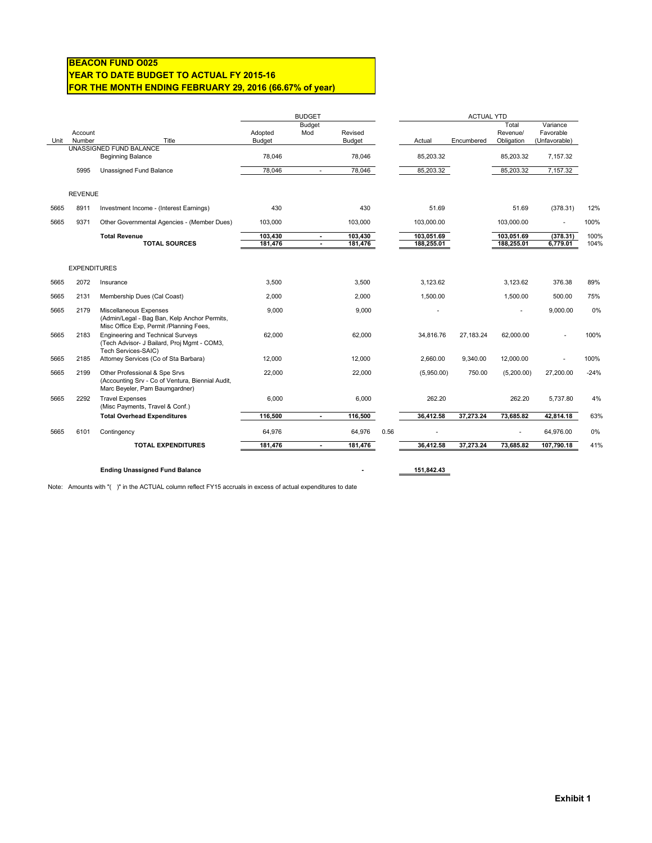### **BEACON FUND O025 YEAR TO DATE BUDGET TO ACTUAL FY 2015-16 FOR THE MONTH ENDING FEBRUARY 29, 2016 (66.67% of year)**

|                         |                   |                                                                                                                     | <b>BUDGET</b>     |                          |                          |      | <b>ACTUAL YTD</b> |            |                                 |                                        |        |
|-------------------------|-------------------|---------------------------------------------------------------------------------------------------------------------|-------------------|--------------------------|--------------------------|------|-------------------|------------|---------------------------------|----------------------------------------|--------|
| Unit                    | Account<br>Number | Title                                                                                                               | Adopted<br>Budget | <b>Budget</b><br>Mod     | Revised<br><b>Budget</b> |      | Actual            | Encumbered | Total<br>Revenue/<br>Obligation | Variance<br>Favorable<br>(Unfavorable) |        |
| UNASSIGNED FUND BALANCE |                   |                                                                                                                     |                   |                          |                          |      |                   |            |                                 |                                        |        |
|                         |                   | <b>Beginning Balance</b>                                                                                            | 78,046            |                          | 78,046                   |      | 85,203.32         |            | 85,203.32                       | 7,157.32                               |        |
|                         | 5995              | Unassigned Fund Balance                                                                                             | 78,046            | $\sim$                   | 78,046                   |      | 85,203.32         |            | 85,203.32                       | 7,157.32                               |        |
| <b>REVENUE</b>          |                   |                                                                                                                     |                   |                          |                          |      |                   |            |                                 |                                        |        |
| 5665                    | 8911              | Investment Income - (Interest Earnings)                                                                             | 430               |                          | 430                      |      | 51.69             |            | 51.69                           | (378.31)                               | 12%    |
| 5665                    | 9371              | Other Governmental Agencies - (Member Dues)                                                                         | 103,000           |                          | 103,000                  |      | 103.000.00        |            | 103,000.00                      | ä,                                     | 100%   |
|                         |                   | <b>Total Revenue</b>                                                                                                | 103,430           | $\blacksquare$           | 103,430                  |      | 103,051.69        |            | 103,051.69                      | (378.31)                               | 100%   |
|                         |                   | <b>TOTAL SOURCES</b>                                                                                                | 181,476           | $\blacksquare$           | 181,476                  |      | 188,255.01        |            | 188,255.01                      | 6,779.01                               | 104%   |
| <b>EXPENDITURES</b>     |                   |                                                                                                                     |                   |                          |                          |      |                   |            |                                 |                                        |        |
| 5665                    | 2072              | Insurance                                                                                                           | 3.500             |                          | 3.500                    |      | 3.123.62          |            | 3.123.62                        | 376.38                                 | 89%    |
| 5665                    | 2131              | Membership Dues (Cal Coast)                                                                                         | 2,000             |                          | 2,000                    |      | 1,500.00          |            | 1,500.00                        | 500.00                                 | 75%    |
| 5665                    | 2179              | Miscellaneous Expenses<br>(Admin/Legal - Bag Ban, Kelp Anchor Permits,<br>Misc Office Exp, Permit /Planning Fees,   | 9,000             |                          | 9,000                    |      |                   |            | ٠                               | 9,000.00                               | 0%     |
| 5665                    | 2183              | <b>Engineering and Technical Surveys</b><br>(Tech Advisor- J Bailard, Proj Mgmt - COM3,<br>Tech Services-SAIC)      | 62,000            |                          | 62,000                   |      | 34,816.76         | 27,183.24  | 62,000.00                       |                                        | 100%   |
| 5665                    | 2185              | Attorney Services (Co of Sta Barbara)                                                                               | 12,000            |                          | 12,000                   |      | 2,660.00          | 9,340.00   | 12,000.00                       | ÷.                                     | 100%   |
| 5665                    | 2199              | Other Professional & Spe Srvs<br>(Accounting Srv - Co of Ventura, Biennial Audit,<br>Marc Beyeler, Pam Baumgardner) | 22,000            |                          | 22,000                   |      | (5,950.00)        | 750.00     | (5,200.00)                      | 27,200.00                              | $-24%$ |
| 5665                    | 2292              | <b>Travel Expenses</b><br>(Misc Payments, Travel & Conf.)                                                           | 6,000             |                          | 6,000                    |      | 262.20            |            | 262.20                          | 5,737.80                               | 4%     |
|                         |                   | <b>Total Overhead Expenditures</b>                                                                                  | 116,500           | $\overline{\phantom{a}}$ | 116,500                  |      | 36,412.58         | 37,273.24  | 73,685.82                       | 42,814.18                              | 63%    |
| 5665                    | 6101              | Contingency                                                                                                         | 64,976            |                          | 64,976                   | 0.56 |                   |            |                                 | 64,976.00                              | 0%     |
|                         |                   | <b>TOTAL EXPENDITURES</b>                                                                                           | 181,476           | $\blacksquare$           | 181,476                  |      | 36.412.58         | 37,273.24  | 73.685.82                       | 107,790.18                             | 41%    |
|                         |                   |                                                                                                                     |                   |                          |                          |      |                   |            |                                 |                                        |        |

### Ending Unassigned Fund Balance **151,842.43**

Note: Amounts with "( )" in the ACTUAL column reflect FY15 accruals in excess of actual expenditures to date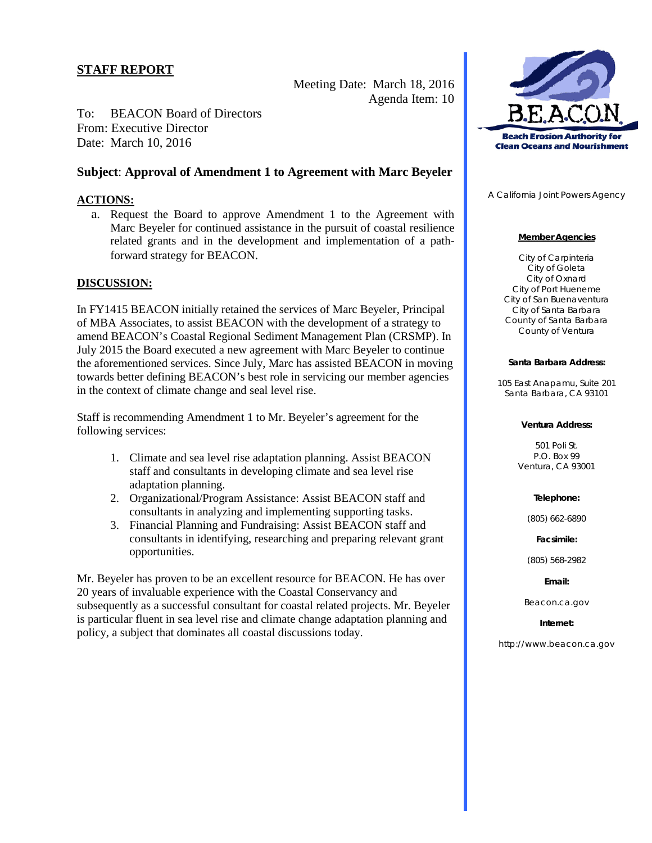Meeting Date: March 18, 2016 Agenda Item: 10

To: BEACON Board of Directors From: Executive Director Date: March 10, 2016

# **Subject**: **Approval of Amendment 1 to Agreement with Marc Beyeler**

### **ACTIONS:**

a. Request the Board to approve Amendment 1 to the Agreement with Marc Beyeler for continued assistance in the pursuit of coastal resilience related grants and in the development and implementation of a pathforward strategy for BEACON.

### **DISCUSSION:**

In FY1415 BEACON initially retained the services of Marc Beyeler, Principal of MBA Associates, to assist BEACON with the development of a strategy to amend BEACON's Coastal Regional Sediment Management Plan (CRSMP). In July 2015 the Board executed a new agreement with Marc Beyeler to continue the aforementioned services. Since July, Marc has assisted BEACON in moving towards better defining BEACON's best role in servicing our member agencies in the context of climate change and seal level rise.

Staff is recommending Amendment 1 to Mr. Beyeler's agreement for the following services:

- 1. Climate and sea level rise adaptation planning. Assist BEACON staff and consultants in developing climate and sea level rise adaptation planning.
- 2. Organizational/Program Assistance: Assist BEACON staff and consultants in analyzing and implementing supporting tasks.
- 3. Financial Planning and Fundraising: Assist BEACON staff and consultants in identifying, researching and preparing relevant grant opportunities.

Mr. Beyeler has proven to be an excellent resource for BEACON. He has over 20 years of invaluable experience with the Coastal Conservancy and subsequently as a successful consultant for coastal related projects. Mr. Beyeler is particular fluent in sea level rise and climate change adaptation planning and policy, a subject that dominates all coastal discussions today.



A California Joint Powers Agency

### **Member Agencies**

City of Carpinteria City of Goleta City of Oxnard City of Port Hueneme City of San Buenaventura City of Santa Barbara County of Santa Barbara County of Ventura

#### **Santa Barbara Address:**

105 East Anapamu, Suite 201 Santa Barbara, CA 93101

#### **Ventura Address:**

501 Poli St. P.O. Box 99 Ventura, CA 93001

### **Telephone:**

(805) 662-6890

**Facsimile:**

(805) 568-2982

**Email:**

Beacon.ca.gov

**Internet:**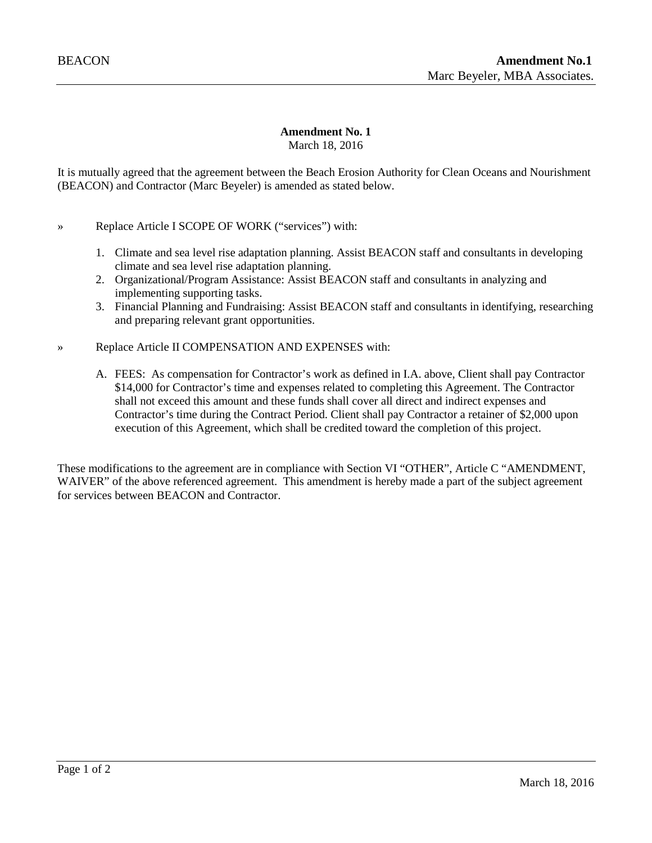### **Amendment No. 1** March 18, 2016

It is mutually agreed that the agreement between the Beach Erosion Authority for Clean Oceans and Nourishment (BEACON) and Contractor (Marc Beyeler) is amended as stated below.

- » Replace Article I SCOPE OF WORK ("services") with:
	- 1. Climate and sea level rise adaptation planning. Assist BEACON staff and consultants in developing climate and sea level rise adaptation planning.
	- 2. Organizational/Program Assistance: Assist BEACON staff and consultants in analyzing and implementing supporting tasks.
	- 3. Financial Planning and Fundraising: Assist BEACON staff and consultants in identifying, researching and preparing relevant grant opportunities.
- » Replace Article II COMPENSATION AND EXPENSES with:
	- A. FEES: As compensation for Contractor's work as defined in I.A. above, Client shall pay Contractor \$14,000 for Contractor's time and expenses related to completing this Agreement. The Contractor shall not exceed this amount and these funds shall cover all direct and indirect expenses and Contractor's time during the Contract Period. Client shall pay Contractor a retainer of \$2,000 upon execution of this Agreement, which shall be credited toward the completion of this project.

These modifications to the agreement are in compliance with Section VI "OTHER", Article C "AMENDMENT, WAIVER" of the above referenced agreement. This amendment is hereby made a part of the subject agreement for services between BEACON and Contractor.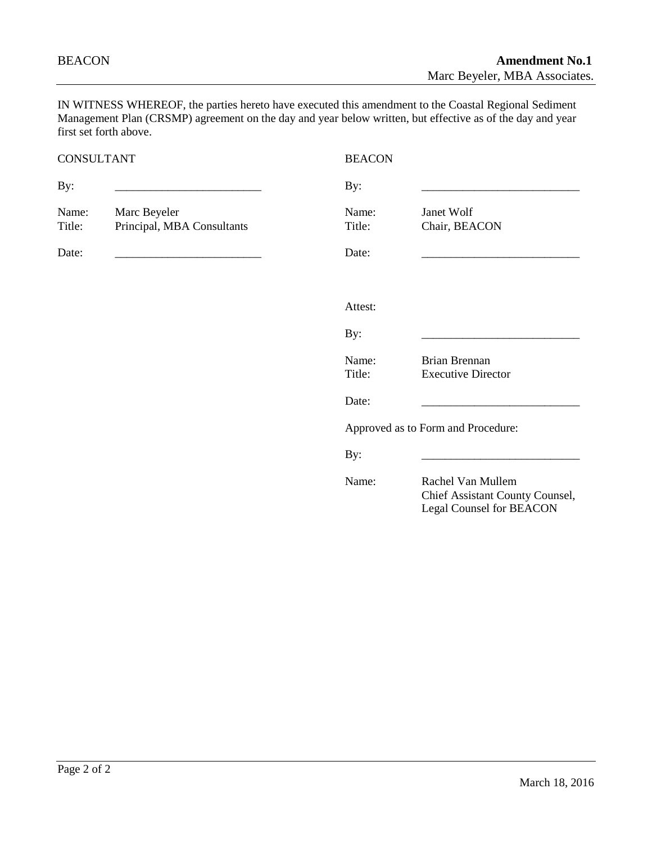IN WITNESS WHEREOF, the parties hereto have executed this amendment to the Coastal Regional Sediment Management Plan (CRSMP) agreement on the day and year below written, but effective as of the day and year first set forth above.

# CONSULTANT BEACON By: \_\_\_\_\_\_\_\_\_\_\_\_\_\_\_\_\_\_\_\_\_\_\_\_\_ By: \_\_\_\_\_\_\_\_\_\_\_\_\_\_\_\_\_\_\_\_\_\_\_\_\_\_\_ Name: Marc Beyeler Name: Janet Wolf Title: Principal, MBA Consultants Title: Chair, BEACON Date: \_\_\_\_\_\_\_\_\_\_\_\_\_\_\_\_\_\_\_\_\_\_\_\_\_ Date: \_\_\_\_\_\_\_\_\_\_\_\_\_\_\_\_\_\_\_\_\_\_\_\_\_\_\_ Attest: By: \_\_\_\_\_\_\_\_\_\_\_\_\_\_\_\_\_\_\_\_\_\_\_\_\_\_\_ Name: Brian Brennan<br>Title: Executive Dire Executive Director Date: \_\_\_\_\_\_\_\_\_\_\_\_\_\_\_\_\_\_\_\_\_\_\_\_\_\_\_ Approved as to Form and Procedure: By: \_\_\_\_\_\_\_\_\_\_\_\_\_\_\_\_\_\_\_\_\_\_\_\_\_\_\_ Name: Rachel Van Mullem Chief Assistant County Counsel, Legal Counsel for BEACON